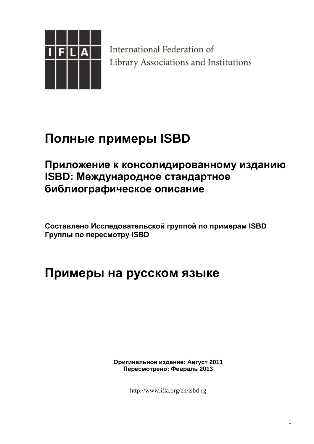

International Federation of Library Associations and Institutions

# **Полные примеры ISBD**

## **Приложение к консолидированному изданию ISBD: Международное стандартное библиографическое описание**

**Составлено Исследовательской группой по примерам ISBD Группы по пересмотру ISBD** 

## **Примеры на русском языке**

**Оригинальное издание: Август 2011 Пересмотрено: Февраль 2013**

http://www.ifla.org/en/isbd-rg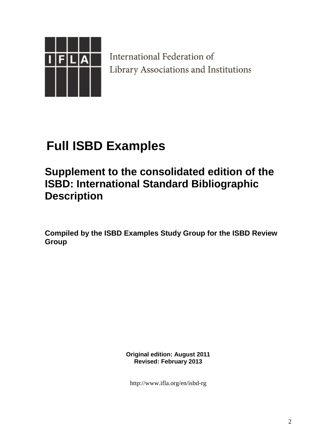

International Federation of Library Associations and Institutions

# **Full ISBD Examples**

## **Supplement to the consolidated edition of the ISBD: International Standard Bibliographic Description**

**Compiled by the ISBD Examples Study Group for the ISBD Review Group** 

> **Original edition: August 2011 Revised: February 2013**

http://www.ifla.org/en/isbd-rg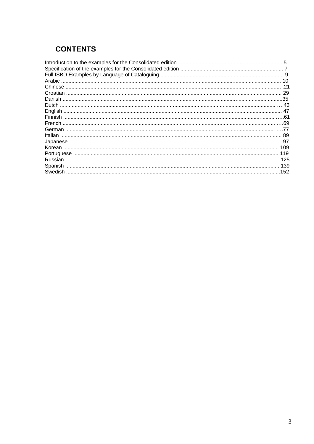## **CONTENTS**

|         | 29  |
|---------|-----|
|         | .35 |
|         |     |
|         |     |
|         | .61 |
|         |     |
|         |     |
| Italian | 89  |
|         |     |
|         | 109 |
|         | 119 |
|         | 125 |
|         | 139 |
|         | 152 |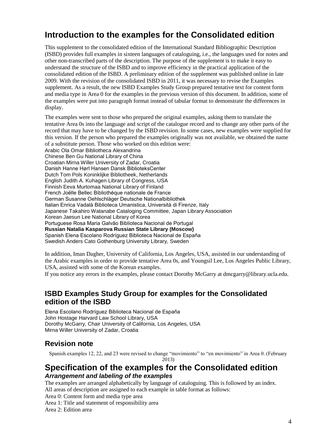## **Introduction to the examples for the Consolidated edition**

This supplement to the consolidated edition of the International Standard Bibliographic Description (ISBD) provides full examples in sixteen languages of cataloguing, i.e., the languages used for notes and other non-transcribed parts of the description. The purpose of the supplement is to make it easy to understand the structure of the ISBD and to improve efficiency in the practical application of the consolidated edition of the ISBD. A preliminary edition of the supplement was published online in late 2009. With the revision of the consolidated ISBD in 2011, it was necessary to revise the Examples supplement. As a result, the new ISBD Examples Study Group prepared tentative text for content form and media type in Area 0 for the examples in the previous version of this document. In addition, some of the examples were put into paragraph format instead of tabular format to demonstrate the differences in display.

The examples were sent to those who prepared the original examples, asking them to translate the tentative Area 0s into the language and script of the catalogue record and to change any other parts of the record that may have to be changed by the ISBD revision. In some cases, new examples were supplied for this version. If the person who prepared the examples originally was not available, we obtained the name of a substitute person. Those who worked on this edition were: Arabic Ola Omar Bibliotheca Alexandrina Chinese Ben Gu National Library of China Croatian Mirna Willer University of Zadar, Croatia Danish Hanne Hørl Hansen Dansk BiblioteksCenter Dutch Tom Pols Koninklijke Bibliotheek, Netherlands English Judith A. Kuhagen Library of Congress, USA Finnish Eeva Murtomaa National Library of Finland French Joëlle Bellec Bibliothèque nationale de France German Susanne Oehlschläger Deutsche Nationalbibliothek Italian Enrica Vadalà Biblioteca Umanistica, Università di Firenze, Italy Japanese Takahiro Watanabe Cataloging Committee, Japan Library Association Korean Jaesun Lee National Library of Korea Portuguese Rosa Maria Galvão Biblioteca Nacional de Portugal **Russian Natalia Kasparova Russian State Library (Moscow)**  Spanish Elena Escolano Rodríguez Biblioteca Nacional de España Swedish Anders Cato Gothenburg University Library, Sweden

In addition, Iman Dagher, University of California, Los Angeles, USA, assisted in our understanding of the Arabic examples in order to provide tentative Area 0s, and Youngsil Lee, Los Angeles Public Library, USA, assisted with some of the Korean examples.

If you notice any errors in the examples, please contact Dorothy McGarry at dmcgarry@library.ucla.edu.

#### **ISBD Examples Study Group for examples for the Consolidated edition of the ISBD**

Elena Escolano Rodríguez Biblioteca Nacional de España John Hostage Harvard Law School Library, USA Dorothy McGarry, Chair University of California, Los Angeles, USA Mirna Willer University of Zadar, Croatia

### **Revision note**

Spanish examples 12, 22, and 23 were revised to change "movimiento" to "en movimiento" in Area 0. (February 2013)

#### **Specification of the examples for the Consolidated edition** *Arrangement and labeling of the examples*

The examples are arranged alphabetically by language of cataloguing. This is followed by an index. All areas of description are assigned to each example in table format as follows:

Area 0: Content form and media type area

Area 1: Title and statement of responsibility area

Area 2: Edition area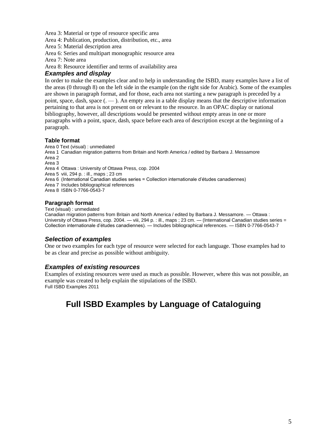Area 3: Material or type of resource specific area

Area 4: Publication, production, distribution, etc., area

Area 5: Material description area

Area 6: Series and multipart monographic resource area

Area 7: Note area

Area 8: Resource identifier and terms of availability area

#### *Examples and display*

In order to make the examples clear and to help in understanding the ISBD, many examples have a list of the areas (0 through 8) on the left side in the example (on the right side for Arabic). Some of the examples are shown in paragraph format, and for those, each area not starting a new paragraph is preceded by a point, space, dash, space  $($ .  $\qquad$ ). An empty area in a table display means that the descriptive information pertaining to that area is not present on or relevant to the resource. In an OPAC display or national bibliography, however, all descriptions would be presented without empty areas in one or more paragraphs with a point, space, dash, space before each area of description except at the beginning of a paragraph.

#### **Table format**

Area 0 Text (visual) : unmediated Area 1 Canadian migration patterns from Britain and North America / edited by Barbara J. Messamore Area 2 Area 3 Area 4 Ottawa : University of Ottawa Press, cop. 2004 Area 5 viii, 294 p. : ill., maps ; 23 cm Area 6 (International Canadian studies series = Collection internationale d'études canadiennes) Area 7 Includes bibliographical references Area 8 ISBN 0-7766-0543-7

#### **Paragraph format**

Text (visual) : unmediated

Canadian migration patterns from Britain and North America / edited by Barbara J. Messamore. — Ottawa : University of Ottawa Press, cop. 2004. — viii, 294 p. : ill., maps ; 23 cm. — (International Canadian studies series = Collection internationale d'études canadiennes). — Includes bibliographical references. — ISBN 0-7766-0543-7

#### *Selection of examples*

One or two examples for each type of resource were selected for each language. Those examples had to be as clear and precise as possible without ambiguity.

#### *Examples of existing resources*

Examples of existing resources were used as much as possible. However, where this was not possible, an example was created to help explain the stipulations of the ISBD. Full ISBD Examples 2011

## **Full ISBD Examples by Language of Cataloguing**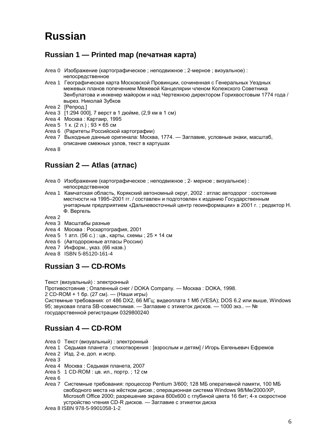## **Russian**

### **Russian 1 — Printed map (печатная карта)**

- Area 0 Изображение (картографическое ; неподвижное ; 2-мерное ; визуальное) : непосредственное
- Area 1 Географическая карта Московской Провинции, сочиненная с Генеральных Уездных межевых планов попечением Межевой Канцелярии членом Колежского Советника Зенбулатова и инженер майором и над Чертежною директором Горихвостовым 1774 года / вырез. Николай Зубков
- Area 2 [Репрод.]
- Area 3 [1:294 000], 7 верст в 1 дюйме, (2,9 км в 1 см)
- Area 4 Москва : Картаир, 1995
- Area 5 1 к. (2 л.) ; 93 × 65 см
- Area 6 (Раритеты Российской картографии)
- Area 7 Выходные данные оригинала: Москва, 1774. Заглавие, условные знаки, масштаб, описание смежных узлов, текст в картушах

Area 8

#### **Russian 2 — Atlas (атлас)**

- Area 0 Изображение (картографическое ; неподвижное ; 2- мерное ; визуальное) : непосредственное
- Area 1 Камчатская область, Корякский автономный округ, 2002 : атлас автодорог : состояние местности на 1995–2001 гг. / составлен и подготовлен к изданию Государственным унитарным предприятием «Дальневосточный центр геоинформации» в 2001 г. ; редактор Н. Ф. Вергель
- Area 2
- Area 3 Масштабы разные
- Area 4 Москва : Роскартография, 2001
- Area 5 1 атл. (56 с.) : цв., карты, схемы ; 25 × 14 см
- Area 6 (Автодорожные атласы России)
- Area 7 Информ., указ. (66 назв.)
- Area 8 ISBN 5-85120-161-4

### **Russian 3 — CD-ROMs**

Текст (визуальный) : электронный

Противостояние ; Опаленный снег / DOKA Company. — Москва : DOKA, 1998.

2 CD-ROM + 1 бр. (27 см). — (Наши игры)

Системные требования: от 486 DX2, 66 МГц; видеоплата 1 Мб (VESA); DOS 6.2 или выше, Windows 95; звуковая плата SB-совместимая. — Заглавие с этикеток дисков. — 1000 экз.. — № государственной регистрации 0329800240

### **Russian 4 — CD-ROM**

- Area 0 Текст (визуальный) : электронный
- Area 1 Седьмая планета : стихотворения : [взрослым и детям] / Игорь Евгеньевич Ефремов
- Area 2 Изд. 2-е, доп. и испр.
- Area 3
- Area 4 Москва : Седьмая планета, 2007
- Area 5 1 CD-ROM : цв. ил., портр. ; 12 см

Area 6

Area 7 Системные требования: процессор Pentium 3/600; 128 МБ оперативной памяти, 100 МБ свободного места на жёстком диске.; операционная система Windows 98/Ме/2000/ХР, Microsoft Office 2000; разрешение экрана 800x600 с глубиной цвета 16 бит; 4-х скоростное устройство чтения CD-R дисков. — Заглавие с этикетки диска

Area 8 ISBN 978-5-9901058-1-2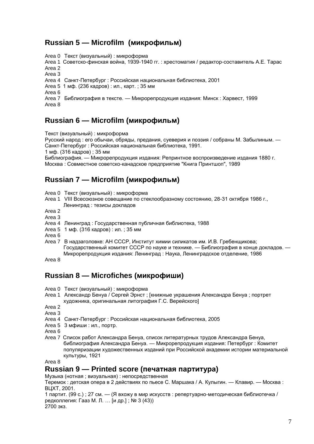#### **Russian 5 — Microfilm (микрофильм)**

Area 0 Текст (визуальный) : микроформа

Area 1 Советско-финская война, 1939-1940 гг. : хрестоматия / редактор-составитель А.Е. Тарас Area 2

Area 3

Area 4 Санкт-Петербург : Российская национальная библиотека, 2001

Area 5 1 мф. (236 кадров) : ил., карт. ; 35 мм

Area 6

Area 7 Библиография в тексте. — Микрорепродукция издания: Минск : Харвест, 1999 Area 8

## **Russian 6 — Microfilm (микрофильм)**

Текст (визуальный) : микроформа

Русский народ : его обычаи, обряды, предания, суеверия и поэзия / собраны М. Забылиным. — Санкт-Петербург : Российская национальная библиотека, 1991.

1 мф. (316 кадров) ; 35 мм

Библиография. — Микрорепродукция издания: Репринтное воспроизведение издания 1880 г. Москва : Совместное советско-канадское предприятие "Книга Принтшоп", 1989

### **Russian 7 — Microfilm (микрофильм)**

- Area 0 Текст (визуальный) : микроформа
- Area 1 VIII Всесоюзное совещание по стеклообразному состоянию, 28-31 октября 1986 г., Ленинград : тезисы докладов

Area 2

- Area 3
- Area 4 Ленинград : Государственная публичная библиотека, 1988
- Area 5 1 мф. (316 кадров) : ил. ; 35 мм

Area 6

Area 7 В надзаголовке: АН СССР, Институт химии силикатов им. И.В. Гребенщикова; Государственный комитет СССР по науке и технике. — Библиография в конце докладов. — Микрорепродукция издания: Ленинград : Наука, Ленинградское отделение, 1986

Area 8

### **Russian 8 — Microfiches (микрофиши)**

- Area 0 Текст (визуальный) : микроформа
- Area 1 Александр Бенуа / Сергей Эрнст ; [книжные украшения Александра Бенуа ; портрет художника, оригинальная литография Г.С. Верейского]

Area 2

Area 3

- Area 4 Санкт-Петербург : Российская национальная библиотека, 2005
- Area 5 3 мфиши : ил., портр.
- Area 6
- Area 7 Список работ Александра Бенуа, список литературных трудов Александра Бенуа, библиография Александра Бенуа. — Микрорепродукция издания: Петербург : Комитет популяризации художественных изданий при Российской академии истории материальной культуры, 1921

Area 8

#### **Russian 9 — Printed score (печатная партитура)**

Музыка (нотная ; визуальная) : непосредственная

Теремок : детская опера в 2 действиях по пьесе С. Маршака / А. Кулыгин. — Клавир. — Москва : ВЦХТ, 2001.

1 партит. (99 с.) ; 27 см. — (Я вхожу в мир искусств : репертуарно-методическая библиотечка / редколлегия: Гааз М. Л. … [и др.] ; № 3 (43)) 2700 экз.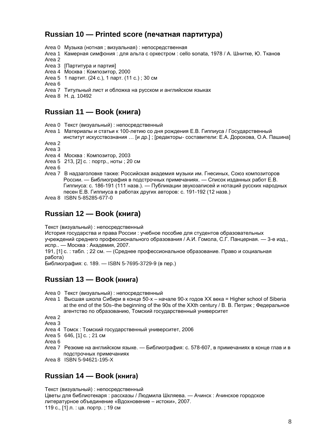### **Russian 10 — Printed score (печатная партитура)**

Area 0 Музыка (нотная ; визуальная) : непосредственная Area 1 Камерная симфония : для альта с оркестром : cello sonata, 1978 / А. Шнитке, Ю. Тканов Area 2 Area 3 [Партитура и партия] Area 4 Москва : Композитор, 2000 Area 5 1 партит. (24 с.), 1 парт. (11 с.) ; 30 см Area 6 Area 7 Титульный лист и обложка на русском и английском языках

Area 8 Н. д. 10492

## **Russian 11 — Book (книга)**

Area 0 Текст (визуальный) : непосредственный

- Area 1 Материалы и статьи к 100-летию со дня рождения Е.В. Гиппиуса / Государственный
- институт искусствознания … [и др.] ; [редакторы- составители: Е.А. Дорохова, О.А. Пашина] Area 2

Area 3

Area 4 Москва : Композитор, 2003

Area 5 213, [2] с. : портр., ноты ; 20 см

Area 6

- Area 7 В надзаголовке также: Российская академия музыки им. Гнесиных, Союз композиторов России. — Библиография в подстрочных примечаниях. — Список изданных работ Е.В. Гиппиуса: с. 186-191 (111 назв.). — Публикации звукозаписей и нотаций русских народных песен Е.В. Гиппиуса в работах других авторов: с. 191-192 (12 назв.)
- Area 8 ISBN 5-85285-677-0

### **Russian 12 — Book (книга)**

Текст (визуальный) : непосредственный

История государства и права России : учебное пособие для студентов образовательных учреждений среднего профессионального образования / А.И. Гомола, С.Г. Панцерная. — 3-е изд., испр.. — Москва : Академия, 2007.

191, [1] с. : табл. ; 22 см. — (Среднее профессиональное образование. Право и социальная работа)

Библиография: с. 189. — ISBN 5-7695-3729-9 (в пер.)

### **Russian 13 — Book (книга)**

- Area 0 Текст (визуальный) : непосредственный
- Area 1 Высшая школа Сибири в конце 50-х начале 90-х годов XX века = Higher school of Siberia at the end of the 50s–the beginning of the 90s of the XXth century / В. В. Петрик ; Федеральное агентство по образованию, Томский государственный университет

Area 2

Area 3

- Area 4 Томск : Томский государственный университет, 2006
- Area 5 646, [1] с. ; 21 см

Area 6

- Area 7 Резюме на английском языке. Библиография: с. 578-607, в примечаниях в конце глав и в подстрочных примечаниях
- Area 8 ISBN 5-94621-195-X

#### **Russian 14 — Book (книга)**

Текст (визуальный) : непосредственный Цветы для библиотекаря : рассказы / Людмила Шкляева. — Ачинск : Ачинское городское литературное объединение «Вдохновение – истоки», 2007. 119 с., [1] л. : цв. портр. ; 19 см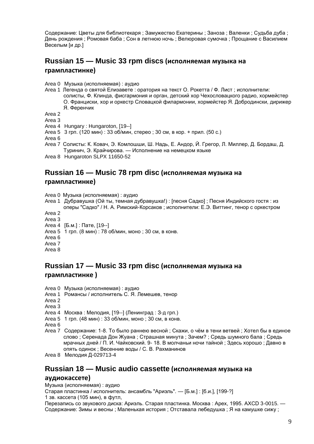Содержание: Цветы для библиотекаря ; Замужество Екатерины ; Заноза ; Валенки ; Судьба дуба ; День рождения ; Ромовая баба ; Сон в летнюю ночь ; Велюровая сумочка ; Прощание с Василием Веселым [и др.]

## **Russian 15 — Music 33 rpm discs (исполняемая музыка на**

#### **грампластинке)**

Area 0 Музыка (исполняемая) : аудио

Area 1 Легенда о святой Елизавете : оратория на текст О. Рокетта / Ф. Лист ; исполнители: солисты, Ф. Клинда, фисгармония и орган, детский хор Чехословацкого радио, хормейстер О. Франциски, хор и оркестр Словацкой филармонии, хормейстер Я. Добродински, дирижер

Я. Ференчик

Area 2

Area 3

Area 4 Hungary : Hungaroton, [19--]

Area 5 3 грп. (120 мин) : 33 об/мин, стерео ; 30 см, в кор. + прил. (50 с.)

Area 6

Area 7 Солисты: К. Ковач, Э. Комлошши, Ш. Надь, Е. Андор, Й. Грегор, Л. Миллер, Д. Бордаш, Д. Туринич, Э. Крайчирова. — Исполнение на немецком языке

Area 8 Hungaroton SLPX 11650-52

#### **Russian 16 — Music 78 rpm disc (исполняемая музыка на грампластинке)**

Area 0 Музыка (исполняемая) : аудио

Area 1 Дубравушка (Ой ты, темная дубравушка!) : [песня Садко] ; Песня Индийского гостя : из оперы "Садко" / Н. А. Римский-Корсаков ; исполнители: Е.Э. Виттинг, тенор с оркестром

Area 2

- Area 3
- Area 4 [Б.м.] : Пате, [19--]
- Area 5 1 грп. (8 мин) : 78 об/мин, моно ; 30 см, в конв.

Area 6

Area 7

Area 8

#### **Russian 17 — Music 33 rpm disc (исполняемая музыка на грампластинке )**

Area 0 Музыка (исполняемая) : аудио

Area 1 Романсы / исполнитель С. Я. Лемешев, тенор

Area 2

Area 3

Area 4 Москва : Мелодия, [19--] (Ленинград : З-д грп.)

Area 5 1 грп. (48 мин) : 33 об/мин, моно ; 30 см, в конв.

Area 6

- Area 7 Содержание: 1-8. То было раннею весной ; Скажи, о чём в тени ветвей ; Хотел бы в единое слово ; Серенада Дон Жуана ; Страшная минута ; Зачем? ; Средь шумного бала ; Средь мрачных дней / П. И. Чайковский. 9- 18. В молчаньи ночи тайной ; Здесь хорошо ; Давно в опять одинок ; Весенние воды / С. В. Рахманинов
- Area 8 Мелодия Д-029713-4

#### **Russian 18 — Music audio cassette (исполняемая музыка на**

#### **аудиокассете)**

Музыка (исполняемая) : аудио

Старая пластинка / исполнитель: ансамбль "Ариэль". — [Б.м.] : [б.и.], [199-?]

1 зв. кассета (105 мин), в футл,

Перезапись со звукового диска: Ариэль. Старая пластинка. Москва : Apex, 1995. AXCD 3-0015. — Содержание: Зимы и весны ; Маленькая история ; Отставала лебедушка ; Я на камушке сижу ;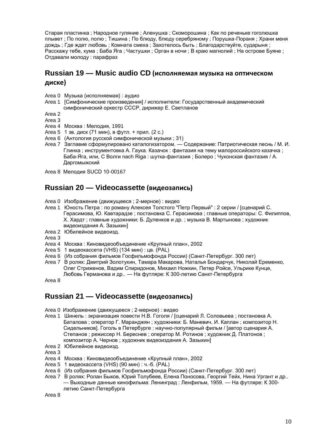Старая пластинка ; Народное гуляние ; Аленушка ; Скоморошина ; Как по реченьке гоголюшка плывет ; По полю, полю ; Тишина ; По блюду, блюду серебряному ; Порушка-Пораня ; Храни меня дождь ; Где ждет любовь ; Комната смеха ; Захотелось быть ; Благодарствуйте, сударыня ; Расскажу тебе, кума ; Баба Яга ; Частушки ; Орган в ночи ; В краю магнолий ; На острове Буяне ; Отдавали молоду : парафраз

#### **Russian 19 — Music audio CD (исполняемая музыка на оптическом диске)**

- Area 0 Музыка (исполняемая) : аудио
- Area 1 [Симфонические произведения] / исполнители: Государственный академический симфонический оркестр СССР, дирижер Е. Светланов
- Area 2
- Area 3
- Area 4 Москва : Мелодия, 1991
- Area 5 1 зв. диск (71 мин), в футл. + прил. (2 с.)
- Area 6 (Антология русской симфонической музыки ; 31)
- Area 7 Заглавие сформулировано каталогизатором. Содержание: Патриотическая песнь / М. И. Глинка ; инструментовка А. Гаука. Казачок : фантазия на тему малороссийского казачка ; Баба-Яга, или, С Волги nach Riga : шутка-фантазия ; Болеро ; Чухонская фантазия / А. Даргомыжский
- Area 8 Мелодия SUCD 10-00167

#### **Russian 20 — Videocassette (видеозапись)**

- Area 0 Изображение (движущееся ; 2-мерное) : видео
- Area 1 Юность Петра : по роману Алексея Толстого "Петр Первый" : 2 серии / [сценарий С. Герасимова, Ю. Кавтарадзе ; постановка С. Герасимова ; главные операторы: С. Филиппов, Х. Хардт ; главные художники: Б. Дуленков и др. ; музыка В. Мартынова ; художник видеоиздания А. Зазыкин]
- Area 2 Юбилейное видеоизд.

Area 3

- Area 4 Москва : Киновидеообъединение «Крупный план», 2002
- Area 5 1 видеокассета (VHS) (134 мин) : цв. (PAL)
- Area 6 (Из собрания фильмов Госфильмофонда России) (Санкт-Петербург. 300 лет)
- Area 7 В ролях: Дмитрий Золотухин, Тамара Макарова, Наталья Бондарчук, Николай Еременко, Олег Стриженов, Вадим Спиридонов, Михаил Ножкин, Петер Ройсе, Ульрике Кунце, Любовь Германова и др.. — На футляре: К 300-летию Санкт-Петербурга

Area 8

#### **Russian 21 — Videocassette (видеозапись)**

- Area 0 Изображение (движущееся ; 2-мерное) : видео
- Area 1 Шинель : экранизация повести Н.В. Гоголя / [сценарий Л. Соловьева ; постановка А. Баталова ; оператор Г. Маранджян ; художники: Б. Маневич, И. Каплан ; композитор Н. Сидельников]. Гоголь в Петербурге : научно-популярный фильм / [автор сценария А. Степанов ; режиссер Н. Береснев ; оператор М. Ротинов ; художник Д. Платонов ; композитор А. Чернов ; художник видеоиздания А. Зазыкин]
- Area 2 Юбилейное видеоизд.
- Area 3
- Area 4 Москва : Киновидеообъединение «Крупный план», 2002
- Area 5 1 видеокассета (VHS) (90 мин) : ч.-б. (PAL)
- Area 6 (Из собрания фильмов Госфильмофонда России) (Санкт-Петербург. 300 лет)
- Area 7 В ролях: Ролан Быков, Юрий Толубеев, Елена Поносова, Георгий Тейх, Нина Ургант и др.. — Выходные данные кинофильма: Ленинград : Ленфильм, 1959. — На футляре: К 300 летию Санкт-Петербурга

Area 8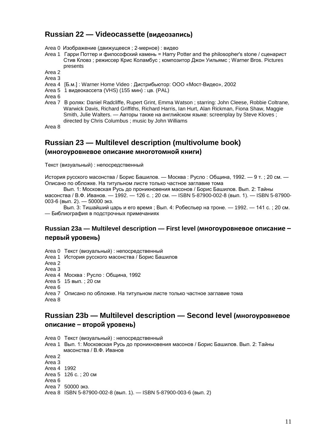#### **Russian 22 — Videocassette (видеозапись)**

Area 0 Изображение (движущееся ; 2-мерное) : видео

Area 1 Гарри Поттер и философский камень = Harry Potter and the philosopher's stone / сценарист Стив Кловз ; режиссер Крис Коламбус ; композитор Джон Уильямс ; Warner Bros. Pictures presents

Area 2

Area 3

- Area 4 [Б.м.] : Warner Home Video : Дистрибьютор: ООО «Мост-Видео», 2002
- Area 5 1 видеокассета (VHS) (155 мин) : цв. (PAL)

Area 6

Area 7 В ролях: Daniel Radcliffe, Rupert Grint, Emma Watson ; starring: John Cleese, Robbie Coltrane, Warwick Davis, Richard Griffiths, Richard Harris, Ian Hurt, Alan Rickman, Fiona Shaw, Maggie Smith, Julie Walters. — Авторы также на английском языке: screenplay by Steve Kloves ; directed by Chris Columbus ; music by John Williams

Area 8

#### **Russian 23 — Multilevel description (multivolume book) (многоуровневое описание многотомной книги)**

Текст (визуальный) : непосредственный

История русского масонства / Борис Башилов. — Москва : Русло : Община, 1992. — 9 т. ; 20 см. — Описано по обложке. На титульном листе только частное заглавие тома

Вып. 1: Московская Русь до проникновения масонов / Борис Башилов. Вып. 2: Тайны масонства / В.Ф. Иванов. — 1992. — 126 с. ; 20 см. — ISBN 5-87900-002-8 (вып. 1). — ISBN 5-87900- 003-6 (вып. 2). — 50000 экз.

Вып. 3: Тишайший царь и его время ; Вып. 4: Робеспьер на троне. — 1992. — 141 с. ; 20 см. — Библиография в подстрочных примечаниях

#### **Russian 23a — Multilevel description — First level (многоуровневое описание – первый уровень)**

Area 0 Текст (визуальный) : непосредственный Area 1 История русского масонства / Борис Башилов Area 2 Area 3 Area 4 Москва : Русло : Община, 1992 Area 5 15 вып. ; 20 см

Area 6 Area 7 Описано по обложке. На титульном листе только частное заглавие тома Area 8

#### **Russian 23b — Multilevel description — Second level (многоуровневое описание – второй уровень)**

Area 0 Текст (визуальный) : непосредственный Area 1 Вып. 1: Московская Русь до проникновения масонов / Борис Башилов. Вып. 2: Тайны масонства / В.Ф. Иванов Area 2 Area 3 Area 4 1992 Area 5 126 с. ; 20 см Area 6

Area 7 50000 экз.

Area 8 ISBN 5-87900-002-8 (вып. 1). — ISBN 5-87900-003-6 (вып. 2)